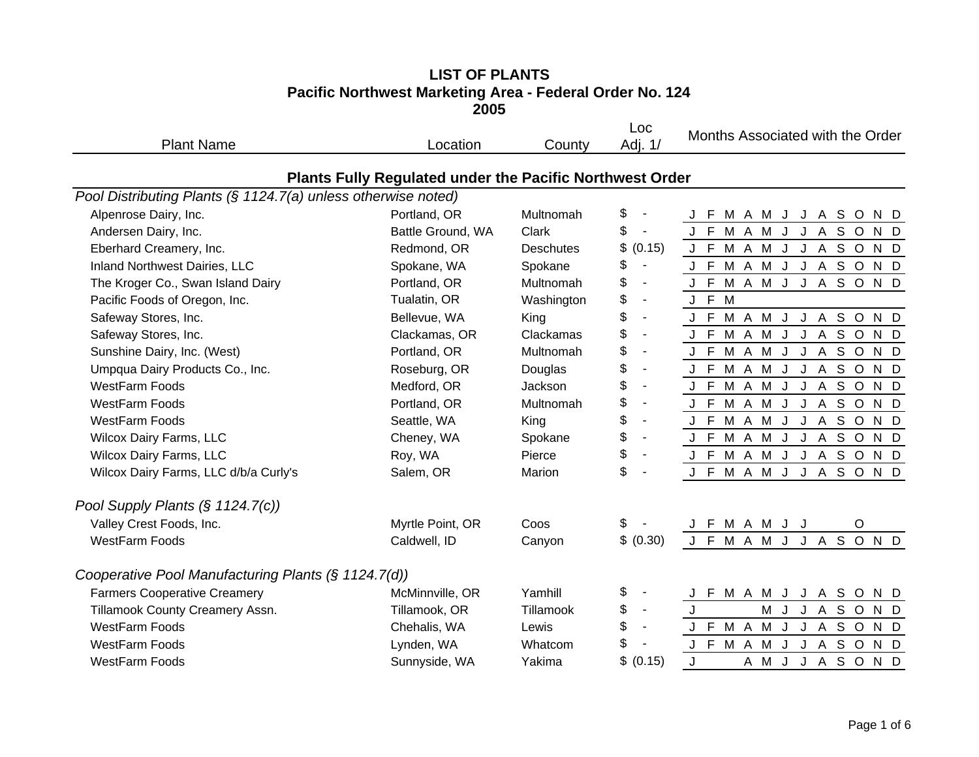## **LIST OF PLANTS Pacific Northwest Marketing Area - Federal Order No. 124 2005**

| <b>Plant Name</b>                                             | Location                                                 | County     | Loc<br>Adj. 1/                 | Months Associated with the Order |
|---------------------------------------------------------------|----------------------------------------------------------|------------|--------------------------------|----------------------------------|
|                                                               | Plants Fully Regulated under the Pacific Northwest Order |            |                                |                                  |
| Pool Distributing Plants (§ 1124.7(a) unless otherwise noted) |                                                          |            |                                |                                  |
| Alpenrose Dairy, Inc.                                         | Portland, OR                                             | Multnomah  | \$                             | J F<br>M A M J J A S O<br>N D    |
| Andersen Dairy, Inc.                                          | Battle Ground, WA                                        | Clark      | \$<br>$\blacksquare$           | M A M J J A S O<br>J F<br>N D    |
| Eberhard Creamery, Inc.                                       | Redmond, OR                                              | Deschutes  | \$<br>(0.15)                   | M A M J J A S O N D<br>J F       |
| Inland Northwest Dairies, LLC                                 | Spokane, WA                                              | Spokane    | \$<br>$\blacksquare$           | J F M A M J J A S O N D          |
| The Kroger Co., Swan Island Dairy                             | Portland, OR                                             | Multnomah  | \$<br>$\blacksquare$           | J F M A M J J A S O N D          |
| Pacific Foods of Oregon, Inc.                                 | Tualatin, OR                                             | Washington | \$<br>$\blacksquare$           | M<br>J F                         |
| Safeway Stores, Inc.                                          | Bellevue, WA                                             | King       | \$<br>$\blacksquare$           | M A M J J A S O N D<br>J F       |
| Safeway Stores, Inc.                                          | Clackamas, OR                                            | Clackamas  | \$<br>$\blacksquare$           | J F M A M J J A S O<br>N D       |
| Sunshine Dairy, Inc. (West)                                   | Portland, OR                                             | Multnomah  | \$<br>$\blacksquare$           | M A M J J A S O<br>J F<br>N D    |
| Umpqua Dairy Products Co., Inc.                               | Roseburg, OR                                             | Douglas    | \$<br>$\blacksquare$           | M A M J J A S O<br>N D<br>J F    |
| <b>WestFarm Foods</b>                                         | Medford, OR                                              | Jackson    | \$<br>$\blacksquare$           | J F M A M J J A S O N D          |
| <b>WestFarm Foods</b>                                         | Portland, OR                                             | Multnomah  | \$<br>$\blacksquare$           | M A M J J A S O<br>J F<br>N D    |
| <b>WestFarm Foods</b>                                         | Seattle, WA                                              | King       | \$<br>$\sim$                   | J F M A M J J A S O N D          |
| Wilcox Dairy Farms, LLC                                       | Cheney, WA                                               | Spokane    | \$<br>$\overline{\phantom{a}}$ | J F M A M J J A S O N D          |
| Wilcox Dairy Farms, LLC                                       | Roy, WA                                                  | Pierce     | \$                             | M A M J J A S O N D<br>J F       |
| Wilcox Dairy Farms, LLC d/b/a Curly's                         | Salem, OR                                                | Marion     | \$                             | M A M J J A S O N D<br>J F       |
| Pool Supply Plants $(\S 1124.7(c))$                           |                                                          |            |                                |                                  |
| Valley Crest Foods, Inc.                                      | Myrtle Point, OR                                         | Coos       | \$                             | J F M A M J J<br>$\circ$         |
| <b>WestFarm Foods</b>                                         | Caldwell, ID                                             | Canyon     | \$ (0.30)                      | J F M A M J J A S O N D          |
| Cooperative Pool Manufacturing Plants (§ 1124.7(d))           |                                                          |            |                                |                                  |
| <b>Farmers Cooperative Creamery</b>                           | McMinnville, OR                                          | Yamhill    | \$<br>$\blacksquare$           | F M A M J J A S O<br>N D         |
| Tillamook County Creamery Assn.                               | Tillamook, OR                                            | Tillamook  | \$<br>$\overline{\phantom{a}}$ | A S O<br>M J<br>J<br>N D<br>J.   |
| <b>WestFarm Foods</b>                                         | Chehalis, WA                                             | Lewis      | \$<br>$\blacksquare$           | J F M A M J J A S O N D          |
| <b>WestFarm Foods</b>                                         | Lynden, WA                                               | Whatcom    | \$                             | J F M A M J J A S O N D          |
| WestFarm Foods                                                | Sunnyside, WA                                            | Yakima     | \$<br>(0.15)                   | <b>JASOND</b><br>J<br>A M J      |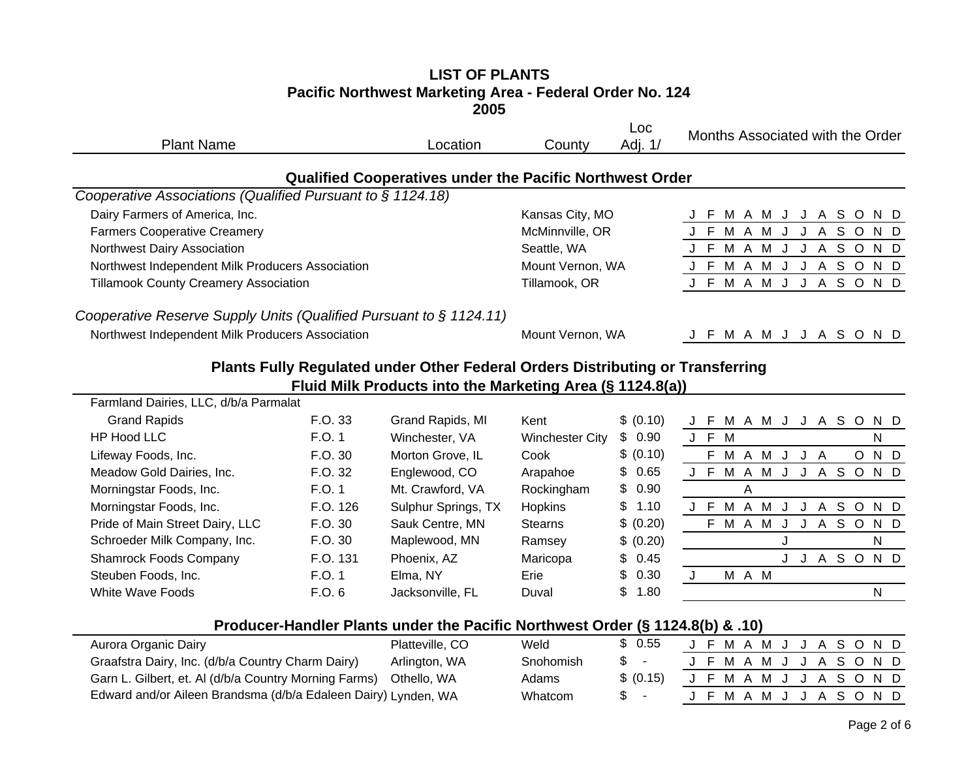#### **LIST OF PLANTS Pacific Northwest Marketing Area - Federal Order No. 124 2005**

| <b>Plant Name</b>                                                  |          | Location                                                                       | County                 | Loc<br>Adj. 1/ | Months Associated with the Order   |
|--------------------------------------------------------------------|----------|--------------------------------------------------------------------------------|------------------------|----------------|------------------------------------|
|                                                                    |          | <b>Qualified Cooperatives under the Pacific Northwest Order</b>                |                        |                |                                    |
| Cooperative Associations (Qualified Pursuant to § 1124.18)         |          |                                                                                |                        |                |                                    |
| Dairy Farmers of America, Inc.                                     |          |                                                                                | Kansas City, MO        |                | J F M A M J J A S O<br>N D         |
| <b>Farmers Cooperative Creamery</b>                                |          |                                                                                | McMinnville, OR        |                | J F M A M J J A S O<br>N D         |
| Northwest Dairy Association                                        |          |                                                                                | Seattle, WA            |                | J F M A M J J A S O<br>N D         |
| Northwest Independent Milk Producers Association                   |          |                                                                                | Mount Vernon, WA       |                | J F M A M J J A S O<br>N D         |
| <b>Tillamook County Creamery Association</b>                       |          |                                                                                | Tillamook, OR          |                | J F M A M J J A S O N D            |
| Cooperative Reserve Supply Units (Qualified Pursuant to § 1124.11) |          |                                                                                |                        |                |                                    |
| Northwest Independent Milk Producers Association                   |          |                                                                                | Mount Vernon, WA       |                | F M A M J J A S O N D              |
|                                                                    |          | Plants Fully Regulated under Other Federal Orders Distributing or Transferring |                        |                |                                    |
|                                                                    |          | Fluid Milk Products into the Marketing Area (§ 1124.8(a))                      |                        |                |                                    |
| Farmland Dairies, LLC, d/b/a Parmalat                              |          |                                                                                |                        |                |                                    |
| <b>Grand Rapids</b>                                                | F.O. 33  | Grand Rapids, MI                                                               | Kent                   | \$ (0.10)      | J F M A M J J A S O<br>N D         |
| <b>HP Hood LLC</b>                                                 | F.O. 1   | Winchester, VA                                                                 | <b>Winchester City</b> | \$0.90         | J F M<br>$\mathsf{N}$              |
| Lifeway Foods, Inc.                                                | F.O. 30  | Morton Grove, IL                                                               | Cook                   | \$ (0.10)      | F M A M J<br>N D<br>J A<br>$\circ$ |
| Meadow Gold Dairies, Inc.                                          | F.O. 32  | Englewood, CO                                                                  | Arapahoe               | \$<br>0.65     | J F M A M J J A S O N D            |
| Morningstar Foods, Inc.                                            | F.O. 1   | Mt. Crawford, VA                                                               | Rockingham             | \$<br>0.90     | A                                  |
| Morningstar Foods, Inc.                                            | F.O. 126 | Sulphur Springs, TX                                                            | Hopkins                | \$<br>1.10     | J F M A M J<br>J A S O<br>N D      |
| Pride of Main Street Dairy, LLC                                    | F.O. 30  | Sauk Centre, MN                                                                | <b>Stearns</b>         | \$ (0.20)      | F M A M J J A S O<br>N D           |
| Schroeder Milk Company, Inc.                                       | F.O. 30  | Maplewood, MN                                                                  | Ramsey                 | \$ (0.20)      | N<br>J                             |
| <b>Shamrock Foods Company</b>                                      | F.O. 131 | Phoenix, AZ                                                                    | Maricopa               | \$<br>0.45     | J J A S O<br>N D                   |
| Steuben Foods, Inc.                                                | F.O. 1   | Elma, NY                                                                       | Erie                   | \$<br>0.30     | M A M<br>J                         |
| <b>White Wave Foods</b>                                            | F.O. 6   | Jacksonville, FL                                                               | Duval                  | \$<br>1.80     | N                                  |
|                                                                    |          |                                                                                |                        |                |                                    |

# **Producer-Handler Plants under the Pacific Northwest Order (§ 1124.8(b) & .10)**

| Aurora Organic Dairy                                              | Platteville, CO | Weld      | \$ 0.55   |  |  | J F M A M J J A S O N D |  |  |  |  |
|-------------------------------------------------------------------|-----------------|-----------|-----------|--|--|-------------------------|--|--|--|--|
| Graafstra Dairy, Inc. (d/b/a Country Charm Dairy)                 | Arlington, WA   | Snohomish | S –       |  |  | J F M A M J J A S O N D |  |  |  |  |
| Garn L. Gilbert, et. Al (d/b/a Country Morning Farms) Othello, WA |                 | Adams     | \$ (0.15) |  |  | J F M A M J J A S O N D |  |  |  |  |
| Edward and/or Aileen Brandsma (d/b/a Edaleen Dairy) Lynden, WA    |                 | Whatcom   | $S -$     |  |  | J F M A M J J A S O N D |  |  |  |  |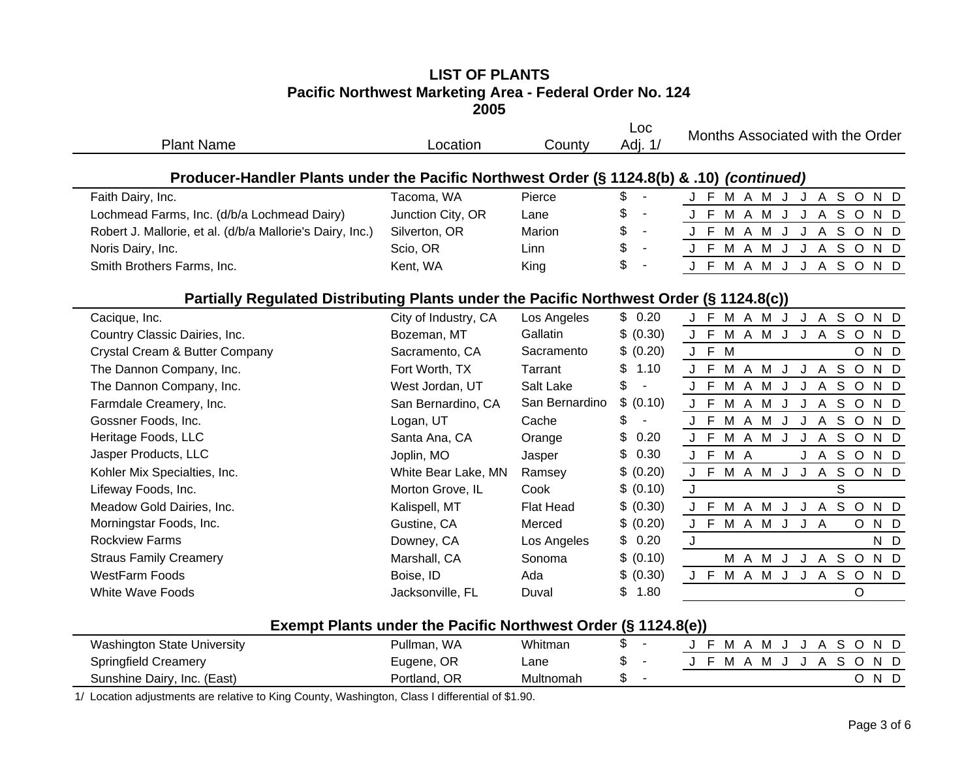## **LIST OF PLANTSPacific Northwest Marketing Area - Federal Order No. 124 2005**

| <b>Plant Name</b>                                                                         | Location                                                      | County           | Loc<br>Adj. 1/ | Months Associated with the Order         |
|-------------------------------------------------------------------------------------------|---------------------------------------------------------------|------------------|----------------|------------------------------------------|
| Producer-Handler Plants under the Pacific Northwest Order (§ 1124.8(b) & .10) (continued) |                                                               |                  |                |                                          |
| Faith Dairy, Inc.                                                                         | Tacoma, WA                                                    | Pierce           | \$             | J F M A M J J A S O N D                  |
| Lochmead Farms, Inc. (d/b/a Lochmead Dairy)                                               | Junction City, OR                                             | Lane             | \$             | J F M A M J J A S O<br>N D               |
| Robert J. Mallorie, et al. (d/b/a Mallorie's Dairy, Inc.)                                 | Silverton, OR                                                 | Marion           | \$             | J F M A M J J A S O N D                  |
| Noris Dairy, Inc.                                                                         | Scio, OR                                                      | Linn             | \$             | J F M A M J J A S O N D                  |
| Smith Brothers Farms, Inc.                                                                | Kent, WA                                                      | King             | \$             | J F M A M J J A S O N D                  |
| Partially Regulated Distributing Plants under the Pacific Northwest Order (§ 1124.8(c))   |                                                               |                  |                |                                          |
| Cacique, Inc.                                                                             | City of Industry, CA                                          | Los Angeles      | \$0.20         | J F M A M J J A S O N D                  |
| Country Classic Dairies, Inc.                                                             | Bozeman, MT                                                   | Gallatin         | \$ (0.30)      | $\mathsf{F}$<br>M A M J J A S O N D<br>J |
| Crystal Cream & Butter Company                                                            | Sacramento, CA                                                | Sacramento       | \$ (0.20)      | J F M<br>N D<br>$\circ$                  |
| The Dannon Company, Inc.                                                                  | Fort Worth, TX                                                | Tarrant          | \$<br>1.10     | J F M A M<br>J A S O<br>N D<br>J         |
| The Dannon Company, Inc.                                                                  | West Jordan, UT                                               | Salt Lake        | \$             | J F M A M J<br>J A S O<br>N D            |
| Farmdale Creamery, Inc.                                                                   | San Bernardino, CA                                            | San Bernardino   | \$<br>(0.10)   | J F M A M J J A<br>SOND                  |
| Gossner Foods, Inc.                                                                       | Logan, UT                                                     | Cache            | \$             | M A M J J A S O N D<br>J F               |
| Heritage Foods, LLC                                                                       | Santa Ana, CA                                                 | Orange           | \$<br>0.20     | M A M J<br><b>JASOND</b><br>J F          |
| Jasper Products, LLC                                                                      | Joplin, MO                                                    | Jasper           | \$<br>0.30     | J F<br>M A<br>J A S O N D                |
| Kohler Mix Specialties, Inc.                                                              | White Bear Lake, MN                                           | Ramsey           | \$<br>(0.20)   | J F M A M J<br>ASOND<br>$\mathsf{J}$     |
| Lifeway Foods, Inc.                                                                       | Morton Grove, IL                                              | Cook             | \$ (0.10)      | S<br>J                                   |
| Meadow Gold Dairies, Inc.                                                                 | Kalispell, MT                                                 | <b>Flat Head</b> | \$ (0.30)      | J F M A M J J A S O<br>N D               |
| Morningstar Foods, Inc.                                                                   | Gustine, CA                                                   | Merced           | \$<br>(0.20)   | F M A M J J A<br>O N D<br>J              |
| <b>Rockview Farms</b>                                                                     | Downey, CA                                                    | Los Angeles      | 0.20<br>\$     | $\mathsf{J}$<br>N D                      |
| <b>Straus Family Creamery</b>                                                             | Marshall, CA                                                  | Sonoma           | \$ (0.10)      | <b>MAMJJASOND</b>                        |
| <b>WestFarm Foods</b>                                                                     | Boise, ID                                                     | Ada              | \$ (0.30)      | J F M A M J J A S O N D                  |
| <b>White Wave Foods</b>                                                                   | Jacksonville, FL                                              | Duval            | 1.80<br>\$     | $\circ$                                  |
|                                                                                           | Exempt Plants under the Pacific Northwest Order (§ 1124.8(e)) |                  |                |                                          |
| <b>Washington State University</b>                                                        | Pullman, WA                                                   | Whitman          | \$             | J F M A M J J A S O N D                  |
| <b>Springfield Creamery</b>                                                               | Eugene, OR                                                    | Lane             | \$             | J F M A M J J A S O N D                  |
| Sunshine Dairy, Inc. (East)                                                               | Portland, OR                                                  | Multnomah        | \$             | O N D                                    |

1/ Location adjustments are relative to King County, Washington, Class I differential of \$1.90.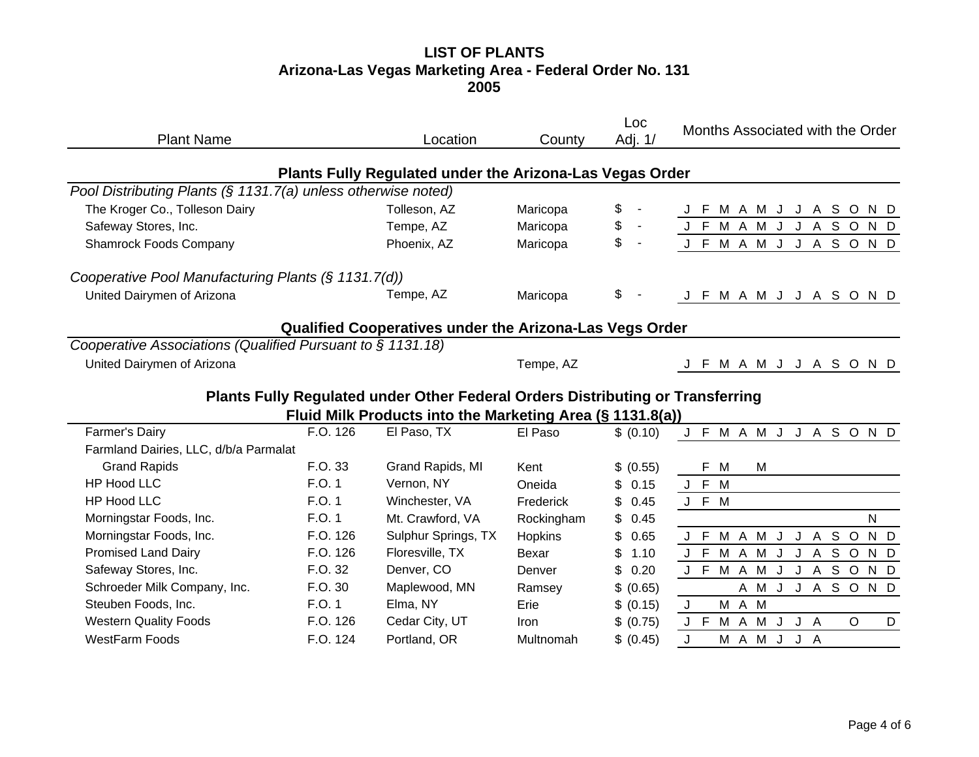#### **LIST OF PLANTS Arizona-Las Vegas Marketing Area - Federal Order No. 131 2005**

| <b>Plant Name</b>                                             |          | Location                                                                       | County      | Loc<br>Adj. 1/       | Months Associated with the Order                          |
|---------------------------------------------------------------|----------|--------------------------------------------------------------------------------|-------------|----------------------|-----------------------------------------------------------|
|                                                               |          | Plants Fully Regulated under the Arizona-Las Vegas Order                       |             |                      |                                                           |
| Pool Distributing Plants (§ 1131.7(a) unless otherwise noted) |          |                                                                                |             |                      |                                                           |
| The Kroger Co., Tolleson Dairy                                |          | Tolleson, AZ                                                                   | Maricopa    | \$<br>$\blacksquare$ | J F M A M J J A S O<br>N D                                |
| Safeway Stores, Inc.                                          |          | Tempe, AZ                                                                      | Maricopa    | \$<br>$\blacksquare$ | J A S O<br>J F M A M<br>J<br>N D                          |
| <b>Shamrock Foods Company</b>                                 |          | Phoenix, AZ                                                                    | Maricopa    | \$<br>$\blacksquare$ | J F M A M J J A S O N D                                   |
| Cooperative Pool Manufacturing Plants (§ 1131.7(d))           |          |                                                                                |             |                      |                                                           |
| United Dairymen of Arizona                                    |          | Tempe, AZ                                                                      | Maricopa    | \$                   | J F M A M J J A S O N D                                   |
|                                                               |          | Qualified Cooperatives under the Arizona-Las Vegs Order                        |             |                      |                                                           |
| Cooperative Associations (Qualified Pursuant to § 1131.18)    |          |                                                                                |             |                      |                                                           |
| United Dairymen of Arizona                                    |          |                                                                                | Tempe, AZ   |                      | J F M A M J J A S O N D                                   |
|                                                               |          | Plants Fully Regulated under Other Federal Orders Distributing or Transferring |             |                      |                                                           |
|                                                               |          | Fluid Milk Products into the Marketing Area (§ 1131.8(a))                      |             |                      |                                                           |
| Farmer's Dairy                                                | F.O. 126 | El Paso, TX                                                                    | El Paso     | \$ (0.10)            | J F M A M J J A S O N D                                   |
| Farmland Dairies, LLC, d/b/a Parmalat                         |          |                                                                                |             |                      |                                                           |
| <b>Grand Rapids</b>                                           | F.O. 33  | Grand Rapids, MI                                                               | Kent        | \$ (0.55)            | F.<br>M<br>м                                              |
| <b>HP Hood LLC</b>                                            | F.O. 1   | Vernon, NY                                                                     | Oneida      | \$<br>0.15           | J F M                                                     |
| <b>HP Hood LLC</b>                                            | F.O. 1   | Winchester, VA                                                                 | Frederick   | \$<br>0.45           | J F M                                                     |
| Morningstar Foods, Inc.                                       | F.O. 1   | Mt. Crawford, VA                                                               | Rockingham  | \$<br>0.45           | $\mathsf{N}$                                              |
| Morningstar Foods, Inc.                                       | F.O. 126 | Sulphur Springs, TX                                                            | Hopkins     | \$<br>0.65           | J A S O<br>M A M J<br>N D<br>J F                          |
| <b>Promised Land Dairy</b>                                    | F.O. 126 | Floresville, TX                                                                | Bexar       | \$<br>1.10           | J F M A M J<br>J A S O<br>N D                             |
| Safeway Stores, Inc.                                          | F.O. 32  | Denver, CO                                                                     | Denver      | \$<br>0.20           | J F M A M<br>$\mathsf{J}$<br>A S O<br>N D<br>$\mathsf{J}$ |
| Schroeder Milk Company, Inc.                                  | F.O. 30  | Maplewood, MN                                                                  | Ramsey      | \$ (0.65)            | A M J J A S O<br>N D                                      |
| Steuben Foods, Inc.                                           | F.O. 1   | Elma, NY                                                                       | Erie        | \$ (0.15)            | M A M<br>J                                                |
| <b>Western Quality Foods</b>                                  | F.O. 126 | Cedar City, UT                                                                 | <b>Iron</b> | \$ (0.75)            | J F M A M J<br>$\circ$<br>J A<br>D                        |
| <b>WestFarm Foods</b>                                         | F.O. 124 | Portland, OR                                                                   | Multnomah   | \$ (0.45)            | M A M J<br>J<br>J A                                       |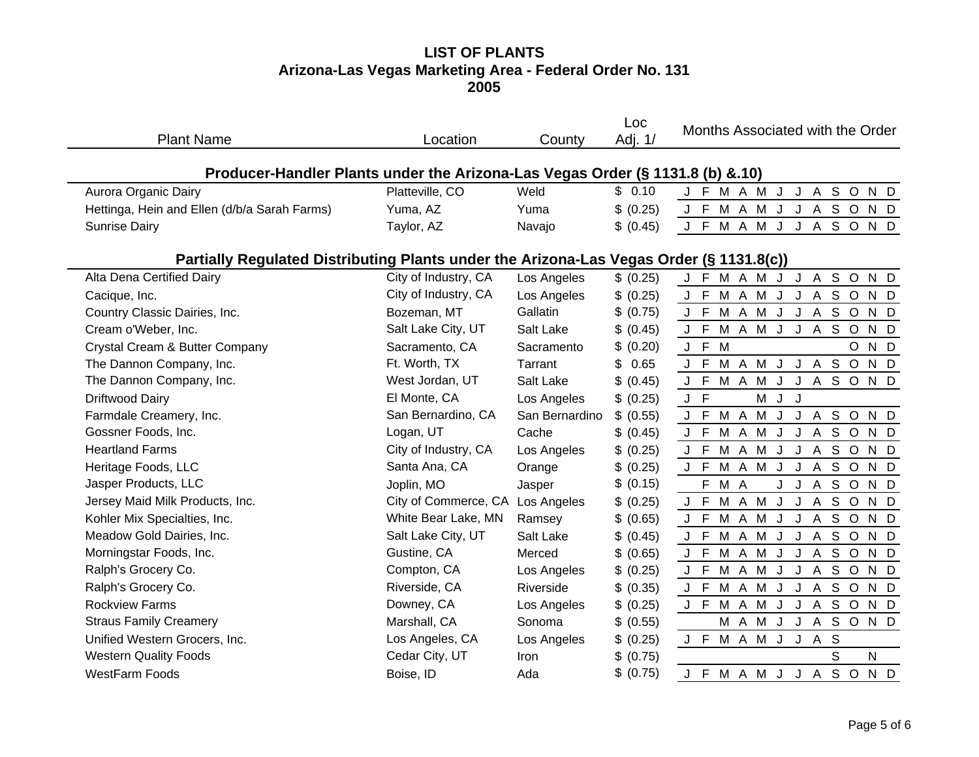# **LIST OF PLANTS Arizona-Las Vegas Marketing Area - Federal Order No. 131 2005**

| <b>Plant Name</b>                                                                       | Location                         | County         | Loc<br>Adj. 1/ | Months Associated with the Order                        |
|-----------------------------------------------------------------------------------------|----------------------------------|----------------|----------------|---------------------------------------------------------|
| Producer-Handler Plants under the Arizona-Las Vegas Order (§ 1131.8 (b) & 10)           |                                  |                |                |                                                         |
| Aurora Organic Dairy                                                                    | Platteville, CO                  | Weld           | \$0.10         | J F M A M J<br>J A S O N D                              |
| Hettinga, Hein and Ellen (d/b/a Sarah Farms)                                            | Yuma, AZ                         | Yuma           | \$ (0.25)      | J A S O N D<br>J F M A M J                              |
| <b>Sunrise Dairy</b>                                                                    | Taylor, AZ                       | Navajo         | \$ (0.45)      | J F M A M J<br>ASOND<br>J                               |
| Partially Regulated Distributing Plants under the Arizona-Las Vegas Order (§ 1131.8(c)) |                                  |                |                |                                                         |
| Alta Dena Certified Dairy                                                               | City of Industry, CA             | Los Angeles    | \$ (0.25)      | J F M A M J J A S O N D                                 |
| Cacique, Inc.                                                                           | City of Industry, CA             | Los Angeles    | \$ (0.25)      | J F M A M J J A S O N D                                 |
| Country Classic Dairies, Inc.                                                           | Bozeman, MT                      | Gallatin       | \$ (0.75)      | J F M A M J J A S O N D                                 |
| Cream o'Weber, Inc.                                                                     | Salt Lake City, UT               | Salt Lake      | \$ (0.45)      | J F M A M J J A S O<br>N D                              |
| Crystal Cream & Butter Company                                                          | Sacramento, CA                   | Sacramento     | \$ (0.20)      | J F M<br>$\circ$<br>N D                                 |
| The Dannon Company, Inc.                                                                | Ft. Worth, TX                    | Tarrant        | 0.65<br>\$     | J F M A M J J A S O N D                                 |
| The Dannon Company, Inc.                                                                | West Jordan, UT                  | Salt Lake      | \$ (0.45)      | J F M A M J J A S O N D                                 |
| Driftwood Dairy                                                                         | El Monte, CA                     | Los Angeles    | \$ (0.25)      | J F<br>M J<br>J                                         |
| Farmdale Creamery, Inc.                                                                 | San Bernardino, CA               | San Bernardino | \$ (0.55)      | J F M A M J J A S O N D                                 |
| Gossner Foods, Inc.                                                                     | Logan, UT                        | Cache          | \$ (0.45)      | M A M J<br>J A S O N D<br>$\mathbf{I}$ .<br>$\mathsf F$ |
| <b>Heartland Farms</b>                                                                  | City of Industry, CA             | Los Angeles    | \$ (0.25)      | J F M A M J<br>J A S O N D                              |
| Heritage Foods, LLC                                                                     | Santa Ana, CA                    | Orange         | \$ (0.25)      | J F M A M J<br>J A S O N D                              |
| Jasper Products, LLC                                                                    | Joplin, MO                       | Jasper         | \$ (0.15)      | F M A<br>ASOND<br>J.<br>$\mathsf{J}$                    |
| Jersey Maid Milk Products, Inc.                                                         | City of Commerce, CA Los Angeles |                | \$ (0.25)      | J F M A M J<br>J A S O N D                              |
| Kohler Mix Specialties, Inc.                                                            | White Bear Lake, MN              | Ramsey         | \$ (0.65)      | J A S O N D<br>J F M A M J                              |
| Meadow Gold Dairies, Inc.                                                               | Salt Lake City, UT               | Salt Lake      | \$ (0.45)      | J F M A M J<br>J A S O N D                              |
| Morningstar Foods, Inc.                                                                 | Gustine, CA                      | Merced         | \$ (0.65)      | J F M A M J<br>J A S<br>$\circ$<br>N D                  |
| Ralph's Grocery Co.                                                                     | Compton, CA                      | Los Angeles    | \$ (0.25)      | J F M A M J<br>J A S O<br>N D                           |
| Ralph's Grocery Co.                                                                     | Riverside, CA                    | Riverside      | \$ (0.35)      | J F M A M J<br>A S<br>J<br>$\circ$<br>N D               |
| <b>Rockview Farms</b>                                                                   | Downey, CA                       | Los Angeles    | \$ (0.25)      | J F M A M J J A S O<br>N D                              |
| <b>Straus Family Creamery</b>                                                           | Marshall, CA                     | Sonoma         | \$ (0.55)      | M A M J J A S O N D                                     |
| Unified Western Grocers, Inc.                                                           | Los Angeles, CA                  | Los Angeles    | \$ (0.25)      | J F M A M J J A S                                       |
| <b>Western Quality Foods</b>                                                            | Cedar City, UT                   | Iron           | \$ (0.75)      | S<br>N                                                  |
| <b>WestFarm Foods</b>                                                                   | Boise, ID                        | Ada            | \$ (0.75)      | J F M A M J J A S O N D                                 |